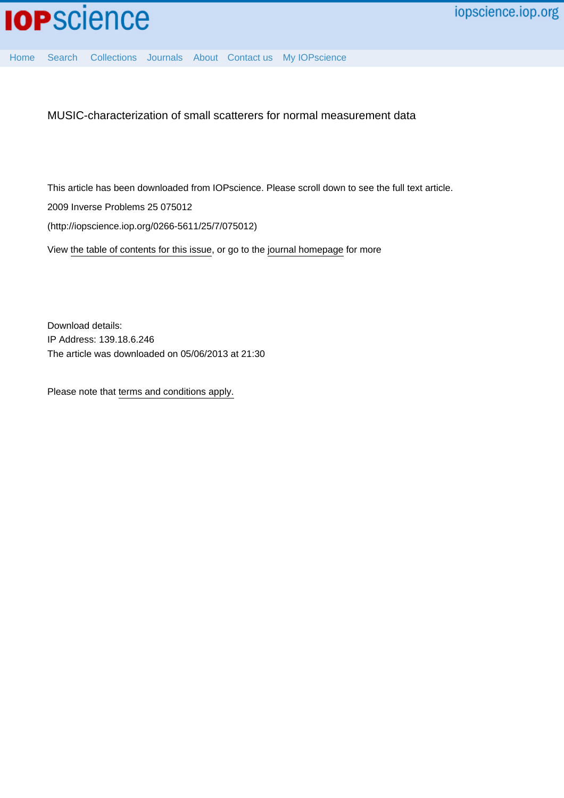

[Home](http://iopscience.iop.org/) [Search](http://iopscience.iop.org/search) [Collections](http://iopscience.iop.org/collections) [Journals](http://iopscience.iop.org/journals) [About](http://iopscience.iop.org/page/aboutioppublishing) [Contact us](http://iopscience.iop.org/contact) [My IOPscience](http://iopscience.iop.org/myiopscience)

MUSIC-characterization of small scatterers for normal measurement data

This article has been downloaded from IOPscience. Please scroll down to see the full text article.

2009 Inverse Problems 25 075012

(http://iopscience.iop.org/0266-5611/25/7/075012)

View [the table of contents for this issue](http://iopscience.iop.org/0266-5611/25/7), or go to the [journal homepage](http://iopscience.iop.org/0266-5611) for more

Download details: IP Address: 139.18.6.246 The article was downloaded on 05/06/2013 at 21:30

Please note that [terms and conditions apply.](http://iopscience.iop.org/page/terms)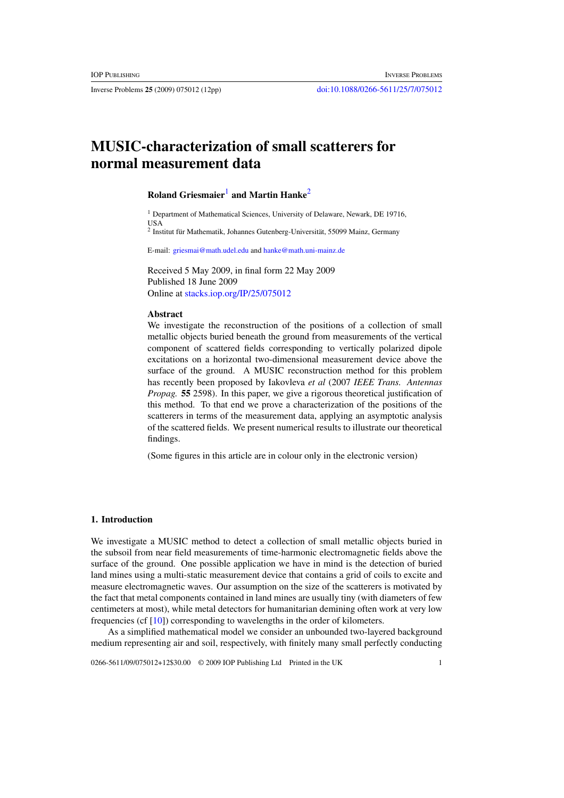# **MUSIC-characterization of small scatterers for normal measurement data**

# **Roland Griesmaier**<sup>1</sup> **and Martin Hanke**<sup>2</sup>

<sup>1</sup> Department of Mathematical Sciences, University of Delaware, Newark, DE 19716, USA

<sup>2</sup> Institut für Mathematik, Johannes Gutenberg-Universität, 55099 Mainz, Germany

E-mail: [griesmai@math.udel.edu](mailto:griesmai@math.udel.edu) and [hanke@math.uni-mainz.de](mailto:hanke@math.uni-mainz.de)

Received 5 May 2009, in final form 22 May 2009 Published 18 June 2009 Online at [stacks.iop.org/IP/25/075012](http://stacks.iop.org/IP/25/075012)

#### **Abstract**

We investigate the reconstruction of the positions of a collection of small metallic objects buried beneath the ground from measurements of the vertical component of scattered fields corresponding to vertically polarized dipole excitations on a horizontal two-dimensional measurement device above the surface of the ground. A MUSIC reconstruction method for this problem has recently been proposed by Iakovleva *et al* (2007 *IEEE Trans. Antennas Propag.* **55** 2598). In this paper, we give a rigorous theoretical justification of this method. To that end we prove a characterization of the positions of the scatterers in terms of the measurement data, applying an asymptotic analysis of the scattered fields. We present numerical results to illustrate our theoretical findings.

(Some figures in this article are in colour only in the electronic version)

### **1. Introduction**

We investigate a MUSIC method to detect a collection of small metallic objects buried in the subsoil from near field measurements of time-harmonic electromagnetic fields above the surface of the ground. One possible application we have in mind is the detection of buried land mines using a multi-static measurement device that contains a grid of coils to excite and measure electromagnetic waves. Our assumption on the size of the scatterers is motivated by the fact that metal components contained in land mines are usually tiny (with diameters of few centimeters at most), while metal detectors for humanitarian demining often work at very low frequencies (cf [\[10](#page-11-0)]) corresponding to wavelengths in the order of kilometers.

As a simplified mathematical model we consider an unbounded two-layered background medium representing air and soil, respectively, with finitely many small perfectly conducting

0266-5611/09/075012+12\$30.00 © 2009 IOP Publishing Ltd Printed in the UK 1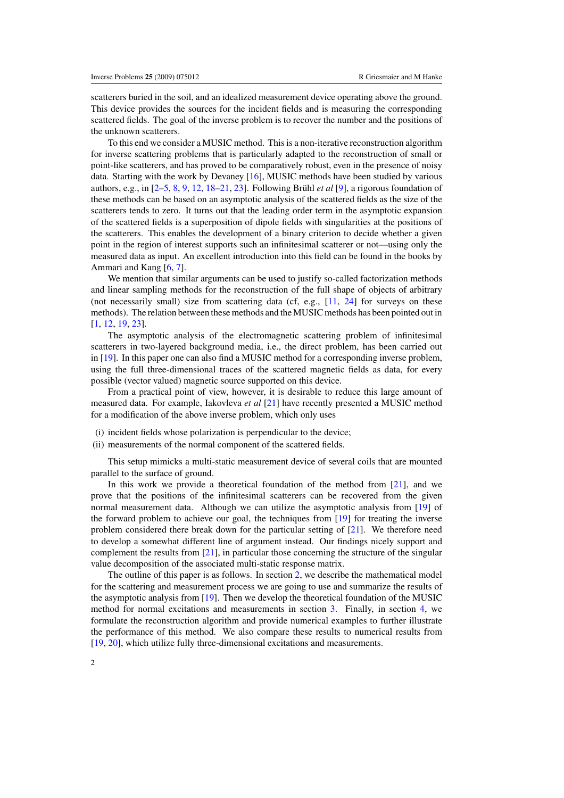scatterers buried in the soil, and an idealized measurement device operating above the ground. This device provides the sources for the incident fields and is measuring the corresponding scattered fields. The goal of the inverse problem is to recover the number and the positions of the unknown scatterers.

To this end we consider a MUSIC method. This is a non-iterative reconstruction algorithm for inverse scattering problems that is particularly adapted to the reconstruction of small or point-like scatterers, and has proved to be comparatively robust, even in the presence of noisy data. Starting with the work by Devaney [\[16](#page-12-0)], MUSIC methods have been studied by various authors, e.g., in  $[2-5, 8, 9, 12, 18-21, 23]$  $[2-5, 8, 9, 12, 18-21, 23]$  $[2-5, 8, 9, 12, 18-21, 23]$  $[2-5, 8, 9, 12, 18-21, 23]$  $[2-5, 8, 9, 12, 18-21, 23]$  $[2-5, 8, 9, 12, 18-21, 23]$  $[2-5, 8, 9, 12, 18-21, 23]$  $[2-5, 8, 9, 12, 18-21, 23]$ . Following Brühl *et al* [\[9](#page-11-0)], a rigorous foundation of these methods can be based on an asymptotic analysis of the scattered fields as the size of the scatterers tends to zero. It turns out that the leading order term in the asymptotic expansion of the scattered fields is a superposition of dipole fields with singularities at the positions of the scatterers. This enables the development of a binary criterion to decide whether a given point in the region of interest supports such an infinitesimal scatterer or not—using only the measured data as input. An excellent introduction into this field can be found in the books by Ammari and Kang [\[6,](#page-11-0) [7\]](#page-11-0).

We mention that similar arguments can be used to justify so-called factorization methods and linear sampling methods for the reconstruction of the full shape of objects of arbitrary (not necessarily small) size from scattering data (cf, e.g.,  $[11, 24]$  $[11, 24]$  $[11, 24]$  $[11, 24]$  for surveys on these methods). The relation between these methods and the MUSIC methods has been pointed out in [\[1](#page-11-0), [12](#page-11-0), [19](#page-12-0), [23](#page-12-0)].

The asymptotic analysis of the electromagnetic scattering problem of infinitesimal scatterers in two-layered background media, i.e., the direct problem, has been carried out in [\[19](#page-12-0)]. In this paper one can also find a MUSIC method for a corresponding inverse problem, using the full three-dimensional traces of the scattered magnetic fields as data, for every possible (vector valued) magnetic source supported on this device.

From a practical point of view, however, it is desirable to reduce this large amount of measured data. For example, Iakovleva *et al* [\[21\]](#page-12-0) have recently presented a MUSIC method for a modification of the above inverse problem, which only uses

- (i) incident fields whose polarization is perpendicular to the device;
- (ii) measurements of the normal component of the scattered fields.

This setup mimicks a multi-static measurement device of several coils that are mounted parallel to the surface of ground.

In this work we provide a theoretical foundation of the method from [\[21](#page-12-0)], and we prove that the positions of the infinitesimal scatterers can be recovered from the given normal measurement data. Although we can utilize the asymptotic analysis from [\[19](#page-12-0)] of the forward problem to achieve our goal, the techniques from [\[19\]](#page-12-0) for treating the inverse problem considered there break down for the particular setting of  $[21]$ . We therefore need to develop a somewhat different line of argument instead. Our findings nicely support and complement the results from [\[21](#page-12-0)], in particular those concerning the structure of the singular value decomposition of the associated multi-static response matrix.

The outline of this paper is as follows. In section [2,](#page-3-0) we describe the mathematical model for the scattering and measurement process we are going to use and summarize the results of the asymptotic analysis from [\[19\]](#page-12-0). Then we develop the theoretical foundation of the MUSIC method for normal excitations and measurements in section [3.](#page-4-0) Finally, in section [4,](#page-7-0) we formulate the reconstruction algorithm and provide numerical examples to further illustrate the performance of this method. We also compare these results to numerical results from [\[19](#page-12-0), [20](#page-12-0)], which utilize fully three-dimensional excitations and measurements.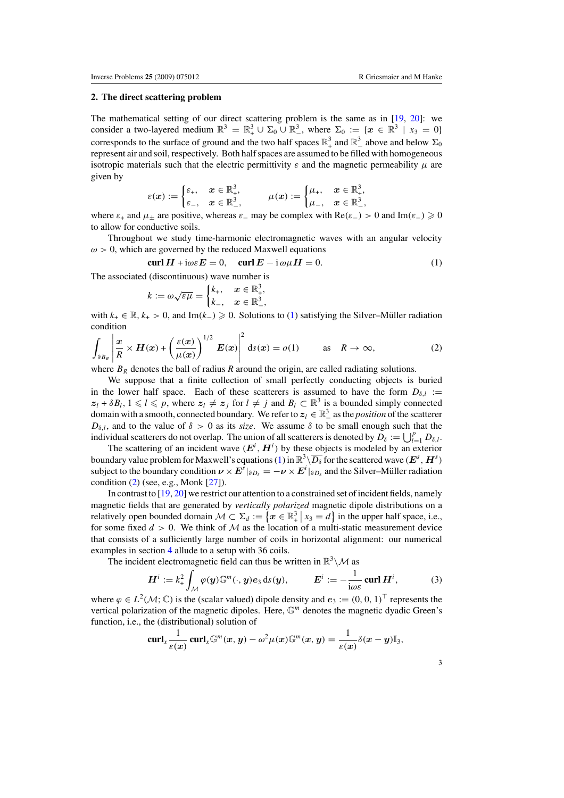#### <span id="page-3-0"></span>**2. The direct scattering problem**

The mathematical setting of our direct scattering problem is the same as in [\[19](#page-12-0), [20\]](#page-12-0): we consider a two-layered medium  $\mathbb{R}^3 = \mathbb{R}^3_+ \cup \Sigma_0 \cup \mathbb{R}^3_+$ , where  $\Sigma_0 := \{x \in \mathbb{R}^3 \mid x_3 = 0\}$ corresponds to the surface of ground and the two half spaces  $\mathbb{R}^3_+$  and  $\mathbb{R}^3_-$  above and below  $\Sigma_0$ represent air and soil, respectively. Both half spaces are assumed to be filled with homogeneous isotropic materials such that the electric permittivity *ε* and the magnetic permeability *μ* are given by

$$
\varepsilon(x):=\begin{cases} \varepsilon_+,&x\in\mathbb{R}^3_+,\\ \varepsilon_-,&x\in\mathbb{R}^3_+, \end{cases}\qquad \mu(x):=\begin{cases} \mu_+,&x\in\mathbb{R}^3_+,\\ \mu_-,&x\in\mathbb{R}^3_-, \end{cases}
$$

where  $\varepsilon_+$  and  $\mu_{\pm}$  are positive, whereas  $\varepsilon_-$  may be complex with  $\text{Re}(\varepsilon_-) > 0$  and  $\text{Im}(\varepsilon_-) \geq 0$ to allow for conductive soils.

Throughout we study time-harmonic electromagnetic waves with an angular velocity  $\omega > 0$ , which are governed by the reduced Maxwell equations

$$
\operatorname{curl} H + \mathrm{i}\omega \varepsilon E = 0, \quad \operatorname{curl} E - \mathrm{i}\,\omega \mu H = 0. \tag{1}
$$

The associated (discontinuous) wave number is

$$
k := \omega \sqrt{\varepsilon \mu} = \begin{cases} k_+, & x \in \mathbb{R}^3_+, \\ k_-, & x \in \mathbb{R}^3_-, \end{cases}
$$

with  $k_+ \in \mathbb{R}, k_+ > 0$ , and Im $(k_-) \ge 0$ . Solutions to (1) satisfying the Silver–Müller radiation condition

$$
\int_{\partial B_R} \left| \frac{x}{R} \times H(x) + \left( \frac{\varepsilon(x)}{\mu(x)} \right)^{1/2} E(x) \right|^2 ds(x) = o(1) \quad \text{as} \quad R \to \infty,
$$
\n(2)

where  $B_R$  denotes the ball of radius  $R$  around the origin, are called radiating solutions.

We suppose that a finite collection of small perfectly conducting objects is buried in the lower half space. Each of these scatterers is assumed to have the form  $D_{\delta,l}$  :=  $z_l + \delta B_l$ ,  $1 \leq l \leq p$ , where  $z_l \neq z_j$  for  $l \neq j$  and  $B_l \subset \mathbb{R}^3$  is a bounded simply connected domain with a smooth, connected boundary. We refer to  $z_l \in \mathbb{R}^3_-$  as the *position* of the scatterer *D* $_{δ,l}$ , and to the value of  $δ > 0$  as its *size*. We assume  $δ$  to be small enough such that the individual scatterers do not overlap. The union of all scatterers is denoted by  $D_{\delta} := \bigcup_{l=1}^{p} D_{\delta,l}$ .

The scattering of an incident wave  $(E^i, H^i)$  by these objects is modeled by an exterior boundary value problem for Maxwell's equations (1) in  $\mathbb{R}^3 \setminus \overline{D_\delta}$  for the scattered wave  $(E^s, H^s)$ subject to the boundary condition  $\nu \times E^s|_{\partial D_\delta} = -\nu \times E^i|_{\partial D_\delta}$  and the Silver–Müller radiation condition (2) (see, e.g., Monk [\[27](#page-12-0)]).

In contrast to [\[19](#page-12-0), [20\]](#page-12-0) we restrict our attention to a constrained set of incident fields, namely magnetic fields that are generated by *vertically polarized* magnetic dipole distributions on a relatively open bounded domain  $\mathcal{M} \subset \Sigma_d := \{ x \in \mathbb{R}^3_+ \mid x_3 = d \}$  in the upper half space, i.e., for some fixed  $d > 0$ . We think of M as the location of a multi-static measurement device that consists of a sufficiently large number of coils in horizontal alignment: our numerical examples in section [4](#page-7-0) allude to a setup with 36 coils.

The incident electromagnetic field can thus be written in  $\mathbb{R}^3 \setminus \mathcal{M}$  as

$$
\boldsymbol{H}^{i} := k_{+}^{2} \int_{\mathcal{M}} \varphi(\boldsymbol{y}) \mathbb{G}^{m}(\cdot, \boldsymbol{y}) e_{3} \, \mathrm{d}s(\boldsymbol{y}), \qquad \boldsymbol{E}^{i} := -\frac{1}{\mathrm{i}\omega\varepsilon} \operatorname{curl} \boldsymbol{H}^{i}, \tag{3}
$$

where  $\varphi \in L^2(\mathcal{M}; \mathbb{C})$  is the (scalar valued) dipole density and  $e_3 := (0, 0, 1)^\top$  represents the vertical polarization of the magnetic dipoles. Here, G*<sup>m</sup>* denotes the magnetic dyadic Green's function, i.e., the (distributional) solution of

$$
\operatorname{curl}_x \frac{1}{\varepsilon(x)} \operatorname{curl}_x \mathbb{G}^m(x, y) - \omega^2 \mu(x) \mathbb{G}^m(x, y) = \frac{1}{\varepsilon(x)} \delta(x - y) \mathbb{I}_3,
$$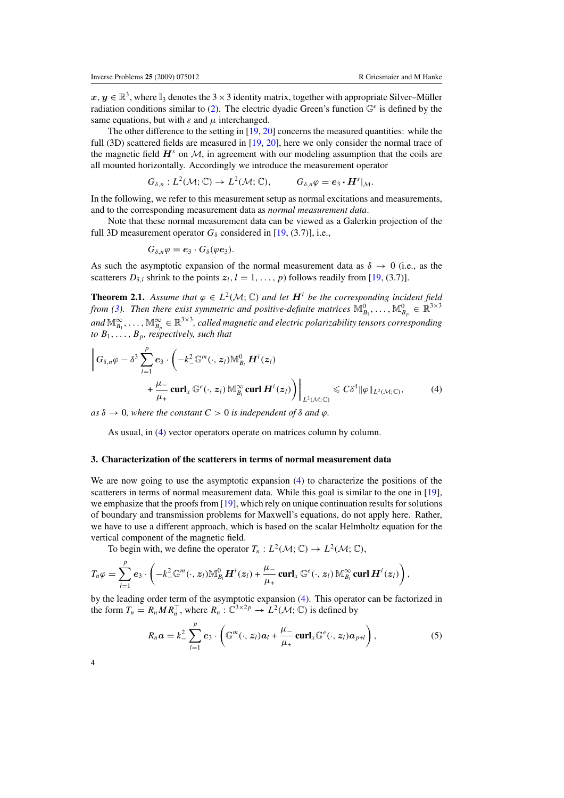<span id="page-4-0"></span> $x, y \in \mathbb{R}^3$ , where  $\mathbb{I}_3$  denotes the 3  $\times$  3 identity matrix, together with appropriate Silver–Müller radiation conditions similar to [\(2\)](#page-3-0). The electric dyadic Green's function  $\mathbb{G}^e$  is defined by the same equations, but with  $\varepsilon$  and  $\mu$  interchanged.

The other difference to the setting in  $[19, 20]$  $[19, 20]$  $[19, 20]$  $[19, 20]$  concerns the measured quantities: while the full (3D) scattered fields are measured in [\[19,](#page-12-0) [20\]](#page-12-0), here we only consider the normal trace of the magnetic field  $H^s$  on M, in agreement with our modeling assumption that the coils are all mounted horizontally. Accordingly we introduce the measurement operator

$$
G_{\delta,n}:L^2(\mathcal{M};\mathbb{C})\to L^2(\mathcal{M};\mathbb{C}),\qquad G_{\delta,n}\varphi=e_3\cdot H^s|_{\mathcal{M}}.
$$

In the following, we refer to this measurement setup as normal excitations and measurements, and to the corresponding measurement data as *normal measurement data*.

Note that these normal measurement data can be viewed as a Galerkin projection of the full 3D measurement operator  $G_{\delta}$  considered in [\[19,](#page-12-0) (3.7)], i.e.,

$$
G_{\delta,n}\varphi=e_3\cdot G_{\delta}(\varphi e_3).
$$

As such the asymptotic expansion of the normal measurement data as  $\delta \rightarrow 0$  (i.e., as the scatterers  $D_{\delta,l}$  shrink to the points  $z_l$ ,  $l = 1, \ldots, p$  follows readily from [\[19](#page-12-0), (3.7)].

**Theorem 2.1.** Assume that  $\varphi \in L^2(\mathcal{M}; \mathbb{C})$  and let  $H^i$  be the corresponding incident field *from [\(3\)](#page-3-0). Then there exist symmetric and positive-definite matrices*  $\mathbb{M}_{B_1}^0, \ldots, \mathbb{M}_{B_p}^0 \in \mathbb{R}^{3 \times 3}$ and  $\mathbb{M}_{B_1}^\infty,\ldots,\mathbb{M}_{B_p}^\infty\in\mathbb{R}^{3\times 3}$ , called magnetic and electric polarizability tensors corresponding *to*  $B_1, \ldots, B_p$ *, respectively, such that* 

$$
\left\| G_{\delta,n} \varphi - \delta^3 \sum_{l=1}^p e_3 \cdot \left( -k_-^2 \mathbb{G}^m(\cdot,z_l) \mathbb{M}_{B_l}^0 \mathbf{H}^i(z_l) + \frac{\mu_-}{\mu_+} \operatorname{curl}_x \mathbb{G}^e(\cdot,z_l) \mathbb{M}_{B_l}^\infty \operatorname{curl} \mathbf{H}^i(z_l) \right) \right\|_{L^2(\mathcal{M};\mathbb{C})} \leq C \delta^4 \| \varphi \|_{L^2(\mathcal{M};\mathbb{C})},\tag{4}
$$

 $as \delta \rightarrow 0$ , where the constant  $C > 0$  is independent of  $\delta$  and  $\varphi$ .

As usual, in (4) vector operators operate on matrices column by column.

#### **3. Characterization of the scatterers in terms of normal measurement data**

We are now going to use the asymptotic expansion (4) to characterize the positions of the scatterers in terms of normal measurement data. While this goal is similar to the one in [\[19\]](#page-12-0), we emphasize that the proofs from [\[19\]](#page-12-0), which rely on unique continuation results for solutions of boundary and transmission problems for Maxwell's equations, do not apply here. Rather, we have to use a different approach, which is based on the scalar Helmholtz equation for the vertical component of the magnetic field.

To begin with, we define the operator  $T_n: L^2(\mathcal{M}; \mathbb{C}) \to L^2(\mathcal{M}; \mathbb{C})$ ,

$$
T_n\varphi=\sum_{l=1}^p e_3\cdot\left(-k^2_-\mathbb{G}^m(\cdot,z_l)\mathbb{M}_{B_l}^0H^i(z_l)+\frac{\mu_-}{\mu_+}\operatorname{curl}_x\mathbb{G}^e(\cdot,z_l)\mathbb{M}_{B_l}^\infty\operatorname{curl} H^i(z_l)\right),
$$

by the leading order term of the asymptotic expansion (4). This operator can be factorized in the form  $T_n = R_n M R_n^T$ , where  $R_n : \mathbb{C}^{3 \times 2p} \to L^2(\mathcal{M}; \mathbb{C})$  is defined by

$$
R_n a = k_-^2 \sum_{l=1}^p e_3 \cdot \left( \mathbb{G}^m(\cdot, z_l) a_l + \frac{\mu_-}{\mu_+} \operatorname{curl}_x \mathbb{G}^e(\cdot, z_l) a_{p+l} \right), \tag{5}
$$

4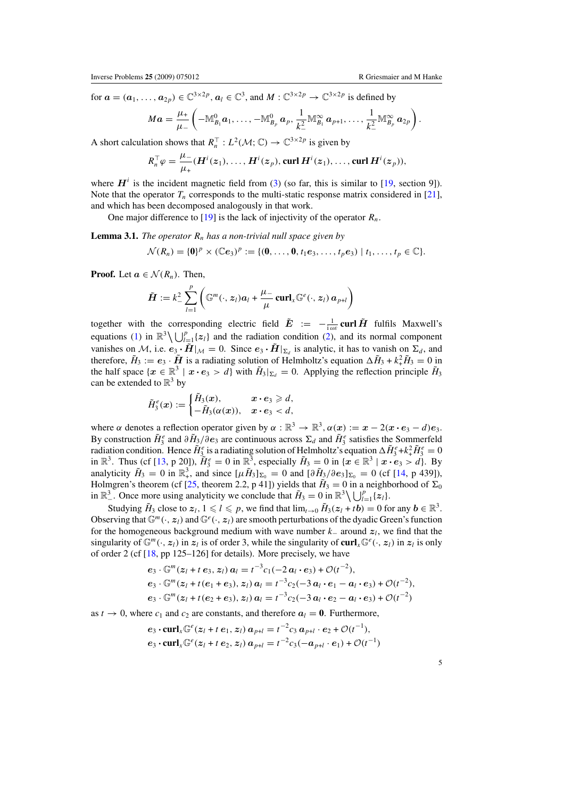<span id="page-5-0"></span>for  $\mathbf{a} = (\mathbf{a}_1, \dots, \mathbf{a}_{2p}) \in \mathbb{C}^{3 \times 2p}$ ,  $\mathbf{a}_l \in \mathbb{C}^3$ , and  $M : \mathbb{C}^{3 \times 2p} \to \mathbb{C}^{3 \times 2p}$  is defined by

$$
Ma=\frac{\mu_+}{\mu_-}\left(-\mathbb{M}_{B_1}^0a_1,\ldots,-\mathbb{M}_{B_p}^0a_p,\frac{1}{k_-^2}\mathbb{M}_{B_1}^\infty a_{p+1},\ldots,\frac{1}{k_-^2}\mathbb{M}_{B_p}^\infty a_{2p}\right).
$$

A short calculation shows that  $R_n^{\top} : L^2(\mathcal{M}; \mathbb{C}) \to \mathbb{C}^{3 \times 2p}$  is given by

$$
R_n^{\top} \varphi = \frac{\mu_-}{\mu_+} (\boldsymbol{H}^i(z_1), \ldots, \boldsymbol{H}^i(z_p), \text{curl } \boldsymbol{H}^i(z_1), \ldots, \text{curl } \boldsymbol{H}^i(z_p)),
$$

where  $H^i$  is the incident magnetic field from [\(3\)](#page-3-0) (so far, this is similar to [\[19,](#page-12-0) section 9]). Note that the operator  $T_n$  corresponds to the multi-static response matrix considered in [\[21\]](#page-12-0), and which has been decomposed analogously in that work.

One major difference to [\[19\]](#page-12-0) is the lack of injectivity of the operator *Rn*.

**Lemma 3.1.** *The operator*  $R_n$  *has a non-trivial null space given by* 

$$
\mathcal{N}(R_n) = \{0\}^p \times (\mathbb{C}e_3)^p := \{(0, \ldots, 0, t_1e_3, \ldots, t_pe_3) \mid t_1, \ldots, t_p \in \mathbb{C}\}.
$$

**Proof.** Let  $a \in \mathcal{N}(R_n)$ . Then,

$$
\tilde{\boldsymbol{H}} := k_-^2 \sum_{l=1}^p \left( \mathbb{G}^m(\cdot, \boldsymbol{z}_l) \boldsymbol{a}_l + \frac{\mu_-}{\mu} \boldsymbol{\operatorname{curl}}_{\boldsymbol{x}} \mathbb{G}^e(\cdot, \boldsymbol{z}_l) \boldsymbol{a}_{p+l} \right)
$$

together with the corresponding electric field  $\tilde{E} := -\frac{1}{i\omega\varepsilon}$  curl  $\tilde{H}$  fulfils Maxwell's equations [\(1\)](#page-3-0) in  $\mathbb{R}^3 \setminus \bigcup_{l=1}^p \{z_l\}$  and the radiation condition [\(2\)](#page-3-0), and its normal component vanishes on M, i.e.  $e_3 \cdot \tilde{H}|_{\mathcal{M}} = 0$ . Since  $e_3 \cdot \tilde{H}|_{\Sigma_d}$  is analytic, it has to vanish on  $\Sigma_d$ , and therefore,  $\tilde{H}_3 := e_3 \cdot \tilde{H}$  is a radiating solution of Helmholtz's equation  $\Delta \tilde{H}_3 + k_+^2 \tilde{H}_3 = 0$  in the half space  $\{x \in \mathbb{R}^3 \mid x \cdot e_3 > d\}$  with  $H_3|_{\Sigma_d} = 0$ . Applying the reflection principle  $H_3$ can be extended to  $\mathbb{R}^3$  by

$$
\tilde{H}_{3}^{e}(x):=\begin{cases} \tilde{H}_{3}(x), & x \cdot e_3 \geq d, \\ -\tilde{H}_{3}(\alpha(x)), & x \cdot e_3 < d, \end{cases}
$$

where *α* denotes a reflection operator given by  $\alpha : \mathbb{R}^3 \to \mathbb{R}^3$ ,  $\alpha(x) := x - 2(x \cdot e_3 - d)e_3$ . By construction  $\tilde{H}_3^e$  and  $\partial \tilde{H}_3/\partial e_3$  are continuous across  $\Sigma_d$  and  $\tilde{H}_3^e$  satisfies the Sommerfeld radiation condition. Hence  $\tilde{H}^e_3$  is a radiating solution of Helmholtz's equation  $\Delta \tilde{H}^e_3 + k^2_+ \tilde{H}^e_3 = 0$ in  $\mathbb{R}^3$ . Thus (cf [\[13](#page-12-0), p 20]),  $\tilde{H}_3^e = 0$  in  $\mathbb{R}^3$ , especially  $\tilde{H}_3 = 0$  in  $\{x \in \mathbb{R}^3 \mid x \cdot e_3 > d\}$ . By analyticity  $\tilde{H}_3 = 0$  in  $\mathbb{R}^3_+$ , and since  $[\mu \tilde{H}_3]_{\Sigma_0} = 0$  and  $[\partial \tilde{H}_3/\partial e_3]_{\Sigma_0} = 0$  (cf [\[14,](#page-12-0) p 439]), Holmgren's theorem (cf [\[25,](#page-12-0) theorem 2.2, p 41]) yields that  $H_3 = 0$  in a neighborhood of  $\Sigma_0$ in  $\mathbb{R}^3$ . Once more using analyticity we conclude that  $\tilde{H}_3 = 0$  in  $\mathbb{R}^3 \setminus \bigcup_{l=1}^p \{z_l\}$ .

Studying  $\tilde{H}_3$  close to  $z_l$ ,  $1 \leq l \leq p$ , we find that  $\lim_{t \to 0} \tilde{H}_3(z_l + tb) = 0$  for any  $b \in \mathbb{R}^3$ . Observing that  $\mathbb{G}^m(\cdot, z_l)$  and  $\mathbb{G}^e(\cdot, z_l)$  are smooth perturbations of the dyadic Green's function for the homogeneous background medium with wave number *k*<sup>−</sup> around *zl*, we find that the singularity of  $\mathbb{G}^m(\cdot, z_l)$  in  $z_l$  is of order 3, while the singularity of curl<sub>*x*</sub> $\mathbb{G}^e(\cdot, z_l)$  in  $z_l$  is only of order 2 (cf [\[18,](#page-12-0) pp 125–126] for details). More precisely, we have

$$
e_3 \cdot \mathbb{G}^m(z_l + t e_3, z_l) a_l = t^{-3} c_1(-2 a_l \cdot e_3) + \mathcal{O}(t^{-2}),
$$
  
\n
$$
e_3 \cdot \mathbb{G}^m(z_l + t(e_1 + e_3), z_l) a_l = t^{-3} c_2(-3 a_l \cdot e_1 - a_l \cdot e_3) + \mathcal{O}(t^{-2}),
$$
  
\n
$$
e_3 \cdot \mathbb{G}^m(z_l + t(e_2 + e_3), z_l) a_l = t^{-3} c_2(-3 a_l \cdot e_2 - a_l \cdot e_3) + \mathcal{O}(t^{-2})
$$

as  $t \to 0$ , where  $c_1$  and  $c_2$  are constants, and therefore  $a_l = 0$ . Furthermore,

$$
e_3 \cdot \operatorname{curl}_x \mathbb{G}^e(z_l + t \, e_1, z_l) \, a_{p+l} = t^{-2} c_3 \, a_{p+l} \cdot e_2 + \mathcal{O}(t^{-1}),
$$
  

$$
e_3 \cdot \operatorname{curl}_x \mathbb{G}^e(z_l + t \, e_2, z_l) \, a_{p+l} = t^{-2} c_3(-a_{p+l} \cdot e_1) + \mathcal{O}(t^{-1})
$$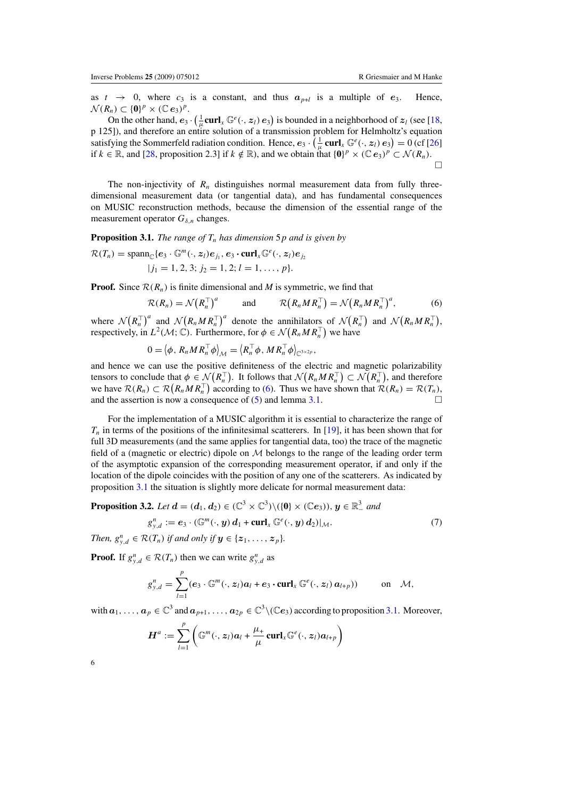<span id="page-6-0"></span>as  $t \rightarrow 0$ , where  $c_3$  is a constant, and thus  $a_{p+l}$  is a multiple of  $e_3$ . Hence,  $\mathcal{N}(R_n) \subset \{0\}^p \times (\mathbb{C} e_3)^p$ .

On the other hand,  $e_3 \cdot (\frac{1}{\mu} \text{curl}_x \mathbb{G}^e(\cdot, z_i) e_3)$  is bounded in a neighborhood of  $z_l$  (see [\[18](#page-12-0), p 125]), and therefore an entire solution of a transmission problem for Helmholtz's equation satisfying the Sommerfeld radiation condition. Hence,  $e_3 \cdot (\frac{1}{\mu} \operatorname{curl}_x \mathbb{G}^e(\cdot, z_l) e_3) = 0$  (cf [\[26](#page-12-0)] if *k* ∈ ℝ, and [\[28,](#page-12-0) proposition 2.3] if *k* ∉ ℝ), and we obtain that  $\{0\}^p \times (\mathbb{C} e_3)^p \subset \mathcal{N}(R_n)$ .  $\Box$ 

The non-injectivity of  $R_n$  distinguishes normal measurement data from fully threedimensional measurement data (or tangential data), and has fundamental consequences on MUSIC reconstruction methods, because the dimension of the essential range of the measurement operator  $G_{\delta,n}$  changes.

**Proposition 3.1.** *The range of*  $T_n$  *has dimension* 5*p and is given by* 

$$
\mathcal{R}(T_n) = \text{span}_{\mathbb{C}}\{e_3 \cdot \mathbb{G}^m(\cdot, z_l)e_{j_1}, e_3 \cdot \text{curl}_x \mathbb{G}^e(\cdot, z_l)e_{j_2}\}
$$
  
 
$$
|j_1 = 1, 2, 3; j_2 = 1, 2; l = 1, ..., p\}.
$$

**Proof.** Since  $\mathcal{R}(R_n)$  is finite dimensional and *M* is symmetric, we find that

$$
\mathcal{R}(R_n) = \mathcal{N}(R_n^{\top})^a \quad \text{and} \quad \mathcal{R}(R_n M R_n^{\top}) = \mathcal{N}(R_n M R_n^{\top})^a, \tag{6}
$$

where  $\mathcal{N}(R_n^{\top})^a$  and  $\mathcal{N}(R_n M R_n^{\top})^a$  denote the annihilators of  $\mathcal{N}(R_n^{\top})$  and  $\mathcal{N}(R_n M R_n^{\top})$ , respectively, in  $L^2(\mathcal{M}; \mathbb{C})$ . Furthermore, for  $\phi \in \mathcal{N}(R_n M R_n^{\top})$  we have

$$
0 = \langle \phi, R_n M R_n^\top \phi \rangle_{\mathcal{M}} = \langle R_n^\top \phi, M R_n^\top \phi \rangle_{\mathbb{C}^{3 \times 2p}},
$$

and hence we can use the positive definiteness of the electric and magnetic polarizability tensors to conclude that  $\phi \in \mathcal{N}(R_n^{\top})$ . It follows that  $\mathcal{N}(R_n M R_n^{\top}) \subset \mathcal{N}(R_n^{\top})$ , and therefore we have  $\mathcal{R}(R_n) \subset \mathcal{R}(R_n M R_n^{\top})$  according to (6). Thus we have shown that  $\mathcal{R}(R_n) = \mathcal{R}(T_n)$ , and the assertion is now a consequence of [\(5\)](#page-4-0) and lemma [3.1.](#page-5-0)

For the implementation of a MUSIC algorithm it is essential to characterize the range of *T<sub>n</sub>* in terms of the positions of the infinitesimal scatterers. In [\[19\]](#page-12-0), it has been shown that for full 3D measurements (and the same applies for tangential data, too) the trace of the magnetic field of a (magnetic or electric) dipole on  $M$  belongs to the range of the leading order term of the asymptotic expansion of the corresponding measurement operator, if and only if the location of the dipole coincides with the position of any one of the scatterers. As indicated by proposition 3.1 the situation is slightly more delicate for normal measurement data:

**Proposition 3.2.** Let 
$$
\mathbf{d} = (d_1, d_2) \in (\mathbb{C}^3 \times \mathbb{C}^3) \setminus (\{0\} \times (\mathbb{C}e_3)), \mathbf{y} \in \mathbb{R}^3
$$
 and  

$$
g_{y,d}^n := e_3 \cdot (\mathbb{G}^m(\cdot, \mathbf{y}) \mathbf{d}_1 + \mathbf{curl}_x \mathbb{G}^e(\cdot, \mathbf{y}) \mathbf{d}_2)|_{\mathcal{M}}.
$$
 (7)

*Then,*  $g_{y,d}^n \in \mathcal{R}(T_n)$  *if and only if*  $y \in \{z_1, \ldots, z_p\}$ .

**Proof.** If  $g_{y,d}^n \in \mathcal{R}(T_n)$  then we can write  $g_{y,d}^n$  as

$$
g_{y,d}^n = \sum_{l=1}^p (e_3 \cdot \mathbb{G}^m(\cdot, z_l) a_l + e_3 \cdot \operatorname{curl}_x \mathbb{G}^e(\cdot, z_l) a_{l+p})) \qquad \text{on} \quad \mathcal{M},
$$

with  $a_1, \ldots, a_p \in \mathbb{C}^3$  and  $a_{p+1}, \ldots, a_{2p} \in \mathbb{C}^3 \setminus (\mathbb{C}e_3)$  according to proposition 3.1. Moreover,

$$
\boldsymbol{H}^{a}:=\sum_{l=1}^{p}\left(\mathbb{G}^{m}(\cdot,z_{l})\boldsymbol{a}_{l}+\frac{\mu_{+}}{\mu}\operatorname{\mathbf{curl}}_{x}\mathbb{G}^{e}(\cdot,z_{l})\boldsymbol{a}_{l+p}\right)
$$

6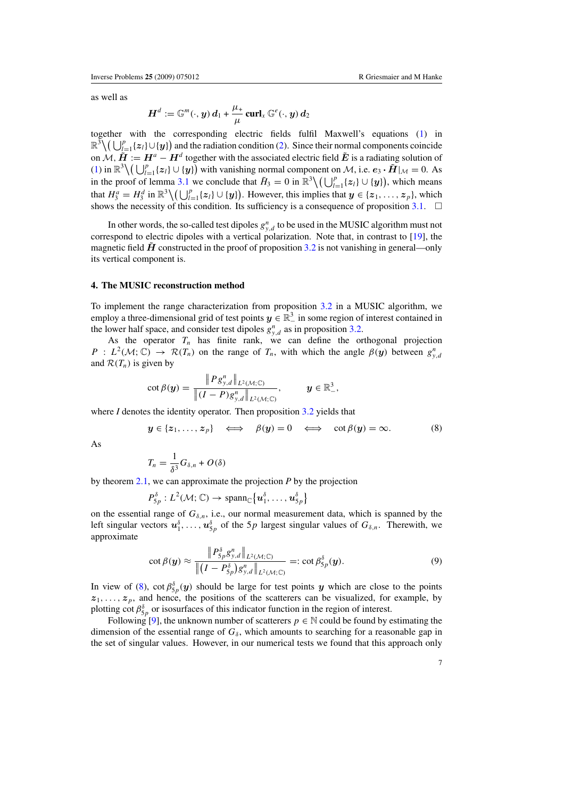<span id="page-7-0"></span>as well as

$$
\boldsymbol{H}^d := \mathbb{G}^m(\cdot,\boldsymbol{y})\,\boldsymbol{d}_1 + \frac{\mu_+}{\mu}\operatorname{\mathbf{curl}}_{\boldsymbol{x}}\mathbb{G}^e(\cdot,\boldsymbol{y})\,\boldsymbol{d}_2
$$

together with the corresponding electric fields fulfil Maxwell's equations [\(1\)](#page-3-0) in  $\mathbb{R}^3 \setminus (\bigcup_{l=1}^p \{z_l\} \cup \{y\})$  and the radiation condition [\(2\)](#page-3-0). Since their normal components coincide on  $\mathcal{M}, \tilde{H} := H^a - H^d$  together with the associated electric field  $\tilde{E}$  is a radiating solution of  $(1)$  in  $\mathbb{R}^3 \setminus (\bigcup_{l=1}^p \{z_l\} \cup \{y_l\})$  with vanishing normal component on *M*, i.e.  $e_3 \cdot \tilde{H}|_{\mathcal{M}} = 0$ . As in the proof of lemma [3.1](#page-5-0) we conclude that  $\tilde{H}_3 = 0$  in  $\mathbb{R}^3 \setminus (\bigcup_{l=1}^p \{z_l\} \cup \{y_l\})$ , which means that  $H_3^a = H_3^d$  in  $\mathbb{R}^3 \setminus (\bigcup_{l=1}^p \{z_l\} \cup \{y_l\})$ . However, this implies that  $y \in \{z_1, \ldots, z_p\}$ , which shows the necessity of this condition. Its sufficiency is a consequence of proposition  $3.1$ .  $\Box$ 

In other words, the so-called test dipoles  $g_{y,d}^n$  to be used in the MUSIC algorithm must not correspond to electric dipoles with a vertical polarization. Note that, in contrast to [\[19\]](#page-12-0), the magnetic field  $\hat{H}$  constructed in the proof of proposition [3.2](#page-6-0) is not vanishing in general—only its vertical component is.

#### **4. The MUSIC reconstruction method**

To implement the range characterization from proposition [3.2](#page-6-0) in a MUSIC algorithm, we employ a three-dimensional grid of test points  $y \in \mathbb{R}^3_-$  in some region of interest contained in the lower half space, and consider test dipoles  $g_{y,d}^n$  as in proposition [3.2.](#page-6-0)

As the operator  $T_n$  has finite rank, we can define the orthogonal projection *P* :  $L^2(\mathcal{M}; \mathbb{C}) \rightarrow \mathcal{R}(T_n)$  on the range of  $T_n$ , with which the angle  $\beta(y)$  between  $g_{y,d}^n$ and  $\mathcal{R}(T_n)$  is given by

$$
\cot \beta(\boldsymbol{y}) = \frac{\|P g^n_{y,d}\|_{L^2(\mathcal{M};\mathbb{C})}}{\|(I - P)g^n_{y,d}\|_{L^2(\mathcal{M};\mathbb{C})}}, \qquad \boldsymbol{y} \in \mathbb{R}^3_-,
$$

where *I* denotes the identity operator. Then proposition [3.2](#page-6-0) yields that

$$
y \in \{z_1, ..., z_p\} \iff \beta(y) = 0 \iff \cot \beta(y) = \infty.
$$
 (8)

As

$$
T_n = \frac{1}{\delta^3} G_{\delta,n} + O(\delta)
$$

by theorem [2.1,](#page-4-0) we can approximate the projection *P* by the projection

$$
P_{5p}^{\delta}: L^{2}(\mathcal{M}; \mathbb{C}) \rightarrow \mathrm{span}_{\mathbb{C}}\big\{u_{1}^{\delta}, \ldots, u_{5p}^{\delta}\big\}
$$

on the essential range of  $G_{\delta,n}$ , i.e., our normal measurement data, which is spanned by the left singular vectors  $u_1^{\delta}, \ldots, u_{5p}^{\delta}$  of the 5*p* largest singular values of  $G_{\delta,n}$ . Therewith, we approximate

$$
\cot \beta(\boldsymbol{y}) \approx \frac{\|P_{5p}^{\delta} g_{y,d}^n\|_{L^2(\mathcal{M};\mathbb{C})}}{\|(I - P_{5p}^{\delta}) g_{y,d}^n\|_{L^2(\mathcal{M};\mathbb{C})}} =: \cot \beta_{5p}^{\delta}(\boldsymbol{y}). \tag{9}
$$

In view of (8), cot  $\beta_{5p}^{\delta}(y)$  should be large for test points *y* which are close to the points  $z_1, \ldots, z_p$ , and hence, the positions of the scatterers can be visualized, for example, by plotting cot  $\beta_{5p}^{\delta}$  or isosurfaces of this indicator function in the region of interest.

Following [\[9\]](#page-11-0), the unknown number of scatterers  $p \in \mathbb{N}$  could be found by estimating the dimension of the essential range of  $G_{\delta}$ , which amounts to searching for a reasonable gap in the set of singular values. However, in our numerical tests we found that this approach only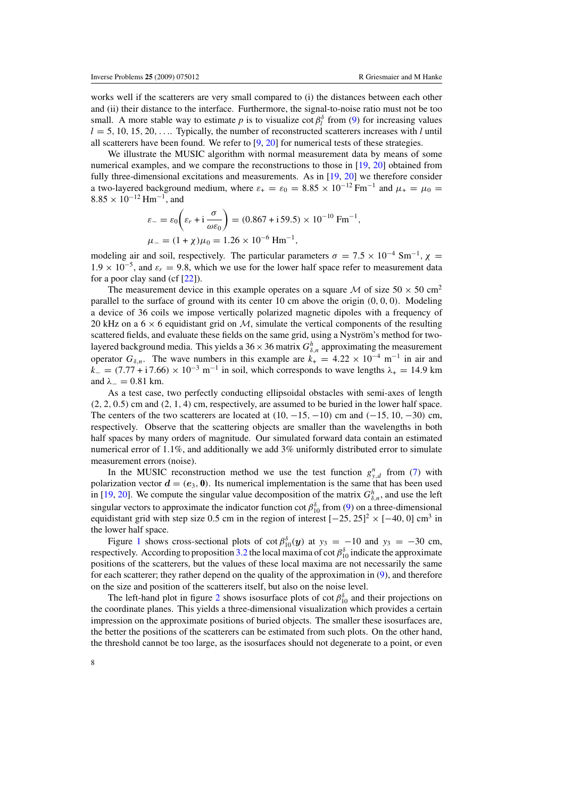works well if the scatterers are very small compared to (i) the distances between each other and (ii) their distance to the interface. Furthermore, the signal-to-noise ratio must not be too small. A more stable way to estimate *p* is to visualize cot  $\beta_l^{\delta}$  from [\(9\)](#page-7-0) for increasing values  $l = 5, 10, 15, 20, \ldots$  Typically, the number of reconstructed scatterers increases with *l* until all scatterers have been found. We refer to  $[9, 20]$  $[9, 20]$  $[9, 20]$  $[9, 20]$  for numerical tests of these strategies.

We illustrate the MUSIC algorithm with normal measurement data by means of some numerical examples, and we compare the reconstructions to those in [\[19](#page-12-0), [20\]](#page-12-0) obtained from fully three-dimensional excitations and measurements. As in [\[19,](#page-12-0) [20](#page-12-0)] we therefore consider a two-layered background medium, where  $\varepsilon_+ = \varepsilon_0 = 8.85 \times 10^{-12}$  Fm<sup>-1</sup> and  $\mu_+ = \mu_0 =$  $8.85 \times 10^{-12}$  Hm<sup>-1</sup>, and

$$
\varepsilon_{-} = \varepsilon_{0} \left( \varepsilon_{r} + \mathrm{i} \frac{\sigma}{\omega \varepsilon_{0}} \right) = (0.867 + \mathrm{i} 59.5) \times 10^{-10} \, \mathrm{Fm}^{-1},
$$
  

$$
\mu_{-} = (1 + \chi) \mu_{0} = 1.26 \times 10^{-6} \, \mathrm{Hm}^{-1},
$$

modeling air and soil, respectively. The particular parameters  $\sigma = 7.5 \times 10^{-4}$  Sm<sup>-1</sup>,  $\chi$  $1.9 \times 10^{-5}$ , and  $\varepsilon_r = 9.8$ , which we use for the lower half space refer to measurement data for a poor clay sand (cf [\[22](#page-12-0)]).

The measurement device in this example operates on a square M of size  $50 \times 50 \text{ cm}^2$ parallel to the surface of ground with its center 10 cm above the origin *(*0*,* 0*,* 0*)*. Modeling a device of 36 coils we impose vertically polarized magnetic dipoles with a frequency of 20 kHz on a  $6 \times 6$  equidistant grid on M, simulate the vertical components of the resulting scattered fields, and evaluate these fields on the same grid, using a Nyström's method for twolayered background media. This yields a  $36 \times 36$  matrix  $G_{\delta,n}^h$  approximating the measurement operator  $G_{\delta,n}$ . The wave numbers in this example are  $k_{+} = 4.22 \times 10^{-4} \text{ m}^{-1}$  in air and  $k = (7.77 + i7.66) \times 10^{-3}$  m<sup>-1</sup> in soil, which corresponds to wave lengths  $\lambda_+ = 14.9$  km and  $\lambda_{-} = 0.81$  km.

As a test case, two perfectly conducting ellipsoidal obstacles with semi-axes of length *(*2*,* 2*,* 0*.*5*)* cm and *(*2*,* 1*,* 4*)* cm, respectively, are assumed to be buried in the lower half space. The centers of the two scatterers are located at *(*10*,* −15*,* −10*)* cm and *(*−15*,* 10*,* −30*)* cm, respectively. Observe that the scattering objects are smaller than the wavelengths in both half spaces by many orders of magnitude. Our simulated forward data contain an estimated numerical error of 1*.*1%, and additionally we add 3% uniformly distributed error to simulate measurement errors (noise).

In the MUSIC reconstruction method we use the test function  $g_{y,d}^n$  from [\(7\)](#page-6-0) with polarization vector  $d = (e_3, 0)$ . Its numerical implementation is the same that has been used in [\[19](#page-12-0), [20](#page-12-0)]. We compute the singular value decomposition of the matrix  $G_{\delta,n}^h$ , and use the left singular vectors to approximate the indicator function cot  $\beta_{10}^{\delta}$  from [\(9\)](#page-7-0) on a three-dimensional equidistant grid with step size 0.5 cm in the region of interest  $[-25, 25]^2 \times [-40, 0]$  cm<sup>3</sup> in the lower half space.

Figure [1](#page-9-0) shows cross-sectional plots of  $\cot \beta_{10}^{\delta}(y)$  at  $y_3 = -10$  and  $y_3 = -30$  cm, respectively. According to proposition [3.2](#page-6-0) the local maxima of cot  $\beta_{10}^{\delta}$  indicate the approximate positions of the scatterers, but the values of these local maxima are not necessarily the same for each scatterer; they rather depend on the quality of the approximation in [\(9\)](#page-7-0), and therefore on the size and position of the scatterers itself, but also on the noise level.

The left-hand plot in figure [2](#page-9-0) shows isosurface plots of cot  $\beta_{10}^{\delta}$  and their projections on the coordinate planes. This yields a three-dimensional visualization which provides a certain impression on the approximate positions of buried objects. The smaller these isosurfaces are, the better the positions of the scatterers can be estimated from such plots. On the other hand, the threshold cannot be too large, as the isosurfaces should not degenerate to a point, or even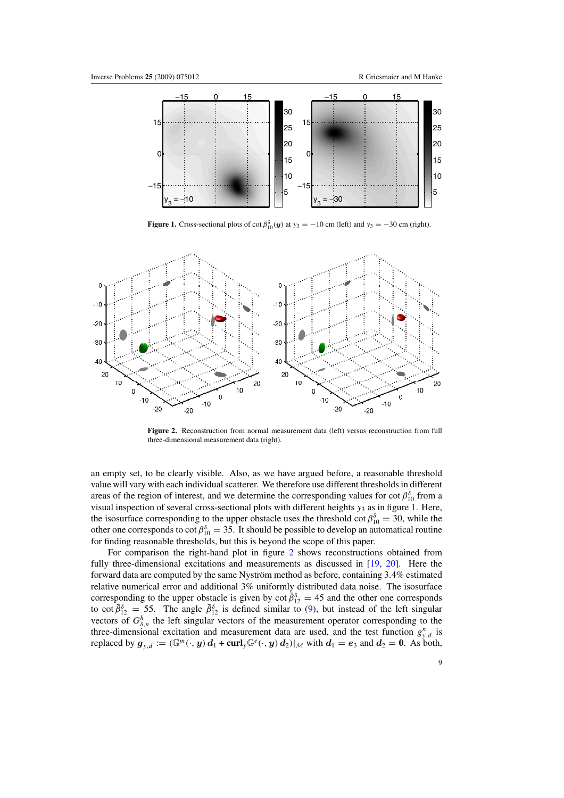<span id="page-9-0"></span>

**Figure 1.** Cross-sectional plots of  $\cot \beta_{10}^{\delta}(y)$  at  $y_3 = -10$  cm (left) and  $y_3 = -30$  cm (right).



Figure 2. Reconstruction from normal measurement data (left) versus reconstruction from full three-dimensional measurement data (right).

an empty set, to be clearly visible. Also, as we have argued before, a reasonable threshold value will vary with each individual scatterer. We therefore use different thresholds in different areas of the region of interest, and we determine the corresponding values for cot  $\beta_{10}^{\delta}$  from a visual inspection of several cross-sectional plots with different heights *y*<sup>3</sup> as in figure 1. Here, the isosurface corresponding to the upper obstacle uses the threshold cot  $\beta_{10}^{\delta} = 30$ , while the other one corresponds to cot  $\beta_{10}^{\delta} = 35$ . It should be possible to develop an automatical routine for finding reasonable thresholds, but this is beyond the scope of this paper.

For comparison the right-hand plot in figure 2 shows reconstructions obtained from fully three-dimensional excitations and measurements as discussed in [\[19](#page-12-0), [20](#page-12-0)]. Here the forward data are computed by the same Nyström method as before, containing 3.4% estimated relative numerical error and additional 3% uniformly distributed data noise. The isosurface corresponding to the upper obstacle is given by cot  $\tilde{\beta}_{12}^{\delta} = 45$  and the other one corresponds to cot  $\tilde{\beta}_{12}^{\delta} = 55$ . The angle  $\tilde{\beta}_{12}^{\delta}$  is defined similar to [\(9\)](#page-7-0), but instead of the left singular vectors of  $G_{\delta,n}^h$  the left singular vectors of the measurement operator corresponding to the three-dimensional excitation and measurement data are used, and the test function  $g_{y,d}^n$  is replaced by  $g_{y,d} := (\mathbb{G}^m(\cdot, y) d_1 + \text{curl}_y \mathbb{G}^e(\cdot, y) d_2)|_{\mathcal{M}}$  with  $d_1 = e_3$  and  $d_2 = 0$ . As both,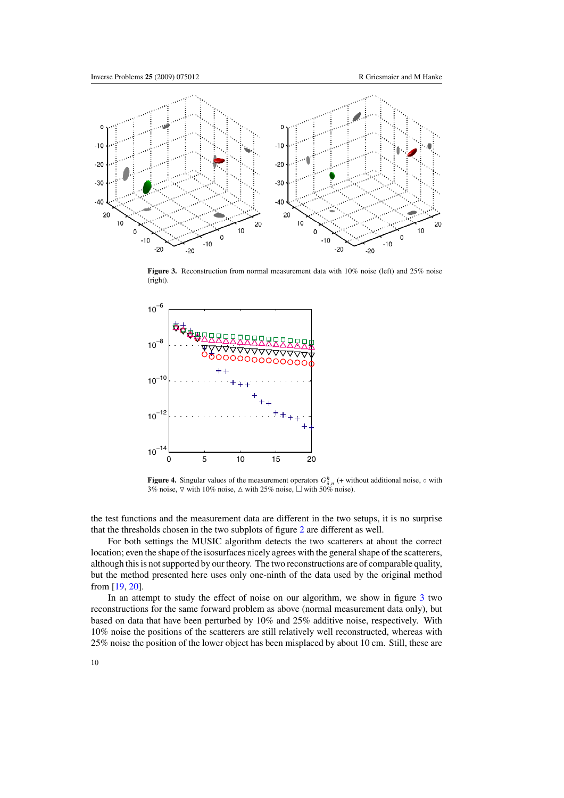<span id="page-10-0"></span>

Figure 3. Reconstruction from normal measurement data with 10% noise (left) and 25% noise (right).



**Figure 4.** Singular values of the measurement operators  $G_{\delta,n}^h$  (+ without additional noise,  $\circ$  with 3% noise,  $\nabla$  with 10% noise,  $\Delta$  with 25% noise,  $\Box$  with 50% noise).

the test functions and the measurement data are different in the two setups, it is no surprise that the thresholds chosen in the two subplots of figure [2](#page-9-0) are different as well.

For both settings the MUSIC algorithm detects the two scatterers at about the correct location; even the shape of the isosurfaces nicely agrees with the general shape of the scatterers, although this is not supported by our theory. The two reconstructions are of comparable quality, but the method presented here uses only one-ninth of the data used by the original method from [\[19](#page-12-0), [20](#page-12-0)].

In an attempt to study the effect of noise on our algorithm, we show in figure 3 two reconstructions for the same forward problem as above (normal measurement data only), but based on data that have been perturbed by 10% and 25% additive noise, respectively. With 10% noise the positions of the scatterers are still relatively well reconstructed, whereas with 25% noise the position of the lower object has been misplaced by about 10 cm. Still, these are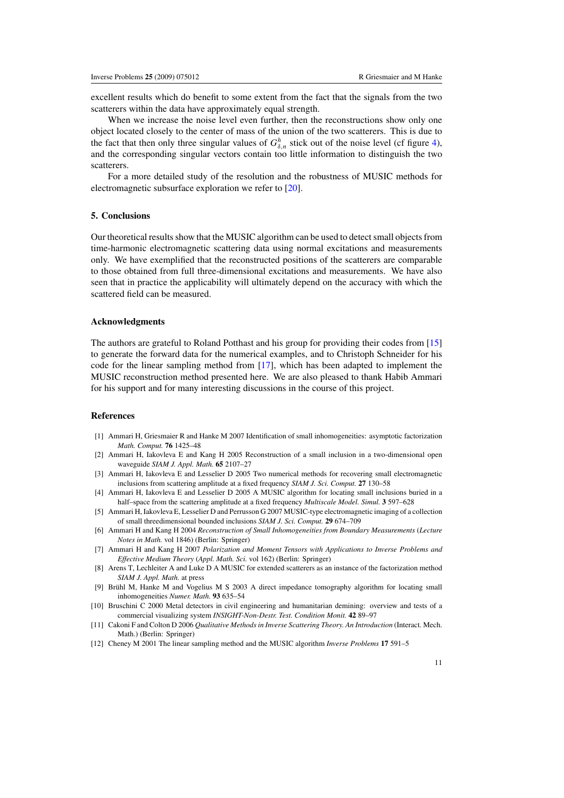<span id="page-11-0"></span>excellent results which do benefit to some extent from the fact that the signals from the two scatterers within the data have approximately equal strength.

When we increase the noise level even further, then the reconstructions show only one object located closely to the center of mass of the union of the two scatterers. This is due to the fact that then only three singular values of  $G_{\delta,n}^h$  stick out of the noise level (cf figure [4\)](#page-10-0), and the corresponding singular vectors contain too little information to distinguish the two scatterers.

For a more detailed study of the resolution and the robustness of MUSIC methods for electromagnetic subsurface exploration we refer to [\[20\]](#page-12-0).

# **5. Conclusions**

Our theoretical results show that the MUSIC algorithm can be used to detect small objects from time-harmonic electromagnetic scattering data using normal excitations and measurements only. We have exemplified that the reconstructed positions of the scatterers are comparable to those obtained from full three-dimensional excitations and measurements. We have also seen that in practice the applicability will ultimately depend on the accuracy with which the scattered field can be measured.

# **Acknowledgments**

The authors are grateful to Roland Potthast and his group for providing their codes from [\[15](#page-12-0)] to generate the forward data for the numerical examples, and to Christoph Schneider for his code for the linear sampling method from [\[17](#page-12-0)], which has been adapted to implement the MUSIC reconstruction method presented here. We are also pleased to thank Habib Ammari for his support and for many interesting discussions in the course of this project.

#### **References**

- [1] Ammari H, Griesmaier R and Hanke M 2007 Identification of small inhomogeneities: asymptotic factorization *Math. Comput.* **76** 1425–48
- [2] Ammari H, Iakovleva E and Kang H 2005 Reconstruction of a small inclusion in a two-dimensional open waveguide *SIAM J. Appl. Math.* **65** 2107–27
- [3] Ammari H, Iakovleva E and Lesselier D 2005 Two numerical methods for recovering small electromagnetic inclusions from scattering amplitude at a fixed frequency *SIAM J. Sci. Comput.* **27** 130–58
- [4] Ammari H, Iakovleva E and Lesselier D 2005 A MUSIC algorithm for locating small inclusions buried in a half–space from the scattering amplitude at a fixed frequency *Multiscale Model. Simul.* **3** 597–628
- [5] Ammari H, Iakovleva E, Lesselier D and Perrusson G 2007 MUSIC-type electromagnetic imaging of a collection of small threedimensional bounded inclusions *SIAM J. Sci. Comput.* **29** 674–709
- [6] Ammari H and Kang H 2004 *Reconstruction of Small Inhomogeneities from Boundary Measurements* (*Lecture Notes in Math.* vol 1846) (Berlin: Springer)
- [7] Ammari H and Kang H 2007 *Polarization and Moment Tensors with Applications to Inverse Problems and Effective Medium Theory* (*Appl. Math. Sci.* vol 162) (Berlin: Springer)
- [8] Arens T, Lechleiter A and Luke D A MUSIC for extended scatterers as an instance of the factorization method *SIAM J. Appl. Math.* at press
- [9] Brühl M, Hanke M and Vogelius M S 2003 A direct impedance tomography algorithm for locating small inhomogeneities *Numer. Math.* **93** 635–54
- [10] Bruschini C 2000 Metal detectors in civil engineering and humanitarian demining: overview and tests of a commercial visualizing system *INSIGHT-Non-Destr. Test. Condition Monit.* **42** 89–97
- [11] Cakoni F and Colton D 2006 *Qualitative Methods in Inverse Scattering Theory. An Introduction* (Interact. Mech. Math.) (Berlin: Springer)
- [12] Cheney M 2001 The linear sampling method and the MUSIC algorithm *Inverse Problems* **17** 591–5